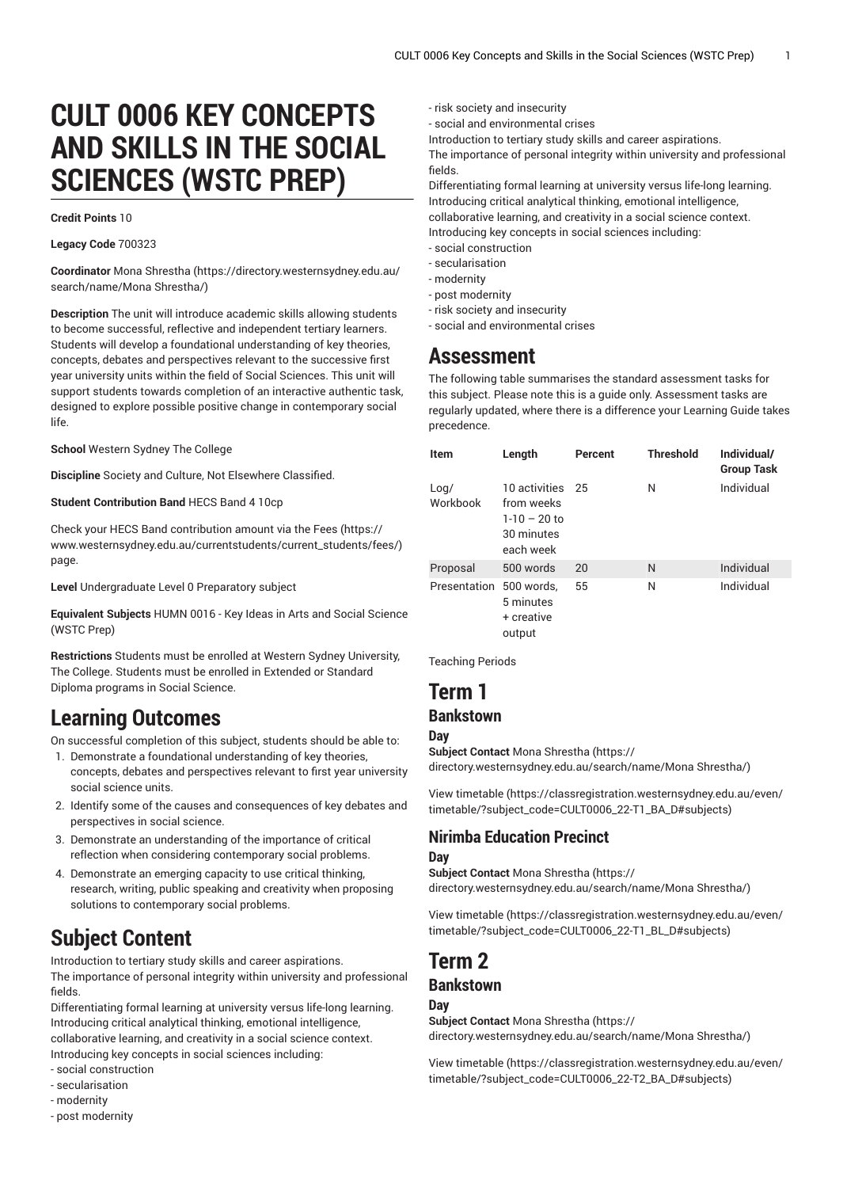# **CULT 0006 KEY CONCEPTS AND SKILLS IN THE SOCIAL SCIENCES (WSTC PREP)**

#### **Credit Points** 10

**Legacy Code** 700323

**Coordinator** Mona [Shrestha](https://directory.westernsydney.edu.au/search/name/Mona Shrestha/) ([https://directory.westernsydney.edu.au/](https://directory.westernsydney.edu.au/search/name/Mona Shrestha/) [search/name/Mona](https://directory.westernsydney.edu.au/search/name/Mona Shrestha/) Shrestha/)

**Description** The unit will introduce academic skills allowing students to become successful, reflective and independent tertiary learners. Students will develop a foundational understanding of key theories, concepts, debates and perspectives relevant to the successive first year university units within the field of Social Sciences. This unit will support students towards completion of an interactive authentic task, designed to explore possible positive change in contemporary social life.

**School** Western Sydney The College

**Discipline** Society and Culture, Not Elsewhere Classified.

**Student Contribution Band** HECS Band 4 10cp

Check your HECS Band contribution amount via the [Fees \(https://](https://www.westernsydney.edu.au/currentstudents/current_students/fees/) [www.westernsydney.edu.au/currentstudents/current\\_students/fees/\)](https://www.westernsydney.edu.au/currentstudents/current_students/fees/) page.

**Level** Undergraduate Level 0 Preparatory subject

**Equivalent Subjects** HUMN 0016 - Key Ideas in Arts and Social Science (WSTC Prep)

**Restrictions** Students must be enrolled at Western Sydney University, The College. Students must be enrolled in Extended or Standard Diploma programs in Social Science.

# **Learning Outcomes**

On successful completion of this subject, students should be able to:

- 1. Demonstrate a foundational understanding of key theories, concepts, debates and perspectives relevant to first year university social science units.
- 2. Identify some of the causes and consequences of key debates and perspectives in social science.
- 3. Demonstrate an understanding of the importance of critical reflection when considering contemporary social problems.
- 4. Demonstrate an emerging capacity to use critical thinking, research, writing, public speaking and creativity when proposing solutions to contemporary social problems.

# **Subject Content**

Introduction to tertiary study skills and career aspirations. The importance of personal integrity within university and professional fields.

Differentiating formal learning at university versus life-long learning. Introducing critical analytical thinking, emotional intelligence, collaborative learning, and creativity in a social science context. Introducing key concepts in social sciences including:

- social construction
- secularisation
- modernity
- post modernity

- risk society and insecurity

- social and environmental crises

Introduction to tertiary study skills and career aspirations.

The importance of personal integrity within university and professional fields.

Differentiating formal learning at university versus life-long learning. Introducing critical analytical thinking, emotional intelligence, collaborative learning, and creativity in a social science context. Introducing key concepts in social sciences including:

- social construction
- secularisation
- modernity
- post modernity
- risk society and insecurity - social and environmental crises

## **Assessment**

The following table summarises the standard assessment tasks for this subject. Please note this is a guide only. Assessment tasks are regularly updated, where there is a difference your Learning Guide takes precedence.

| <b>Item</b>      | Length                                                                      | Percent | <b>Threshold</b> | Individual/<br><b>Group Task</b> |
|------------------|-----------------------------------------------------------------------------|---------|------------------|----------------------------------|
| Loa/<br>Workbook | 10 activities 25<br>from weeks<br>$1-10 - 20$ to<br>30 minutes<br>each week |         | N                | Individual                       |
| Proposal         | 500 words                                                                   | 20      | N                | Individual                       |
| Presentation     | 500 words.<br>5 minutes<br>+ creative<br>output                             | 55      | N                | Individual                       |

Teaching Periods

# **Term 1**

### **Bankstown**

**Day Subject Contact** Mona [Shrestha](https://directory.westernsydney.edu.au/search/name/Mona Shrestha/) [\(https://](https://directory.westernsydney.edu.au/search/name/Mona Shrestha/)

[directory.westernsydney.edu.au/search/name/Mona](https://directory.westernsydney.edu.au/search/name/Mona Shrestha/) Shrestha/)

[View timetable](https://classregistration.westernsydney.edu.au/even/timetable/?subject_code=CULT0006_22-T1_BA_D#subjects) [\(https://classregistration.westernsydney.edu.au/even/](https://classregistration.westernsydney.edu.au/even/timetable/?subject_code=CULT0006_22-T1_BA_D#subjects) [timetable/?subject\\_code=CULT0006\\_22-T1\\_BA\\_D#subjects\)](https://classregistration.westernsydney.edu.au/even/timetable/?subject_code=CULT0006_22-T1_BA_D#subjects)

# **Nirimba Education Precinct**

#### **Day**

**Subject Contact** Mona [Shrestha](https://directory.westernsydney.edu.au/search/name/Mona Shrestha/) [\(https://](https://directory.westernsydney.edu.au/search/name/Mona Shrestha/) [directory.westernsydney.edu.au/search/name/Mona](https://directory.westernsydney.edu.au/search/name/Mona Shrestha/) Shrestha/)

[View timetable](https://classregistration.westernsydney.edu.au/even/timetable/?subject_code=CULT0006_22-T1_BL_D#subjects) [\(https://classregistration.westernsydney.edu.au/even/](https://classregistration.westernsydney.edu.au/even/timetable/?subject_code=CULT0006_22-T1_BL_D#subjects) [timetable/?subject\\_code=CULT0006\\_22-T1\\_BL\\_D#subjects\)](https://classregistration.westernsydney.edu.au/even/timetable/?subject_code=CULT0006_22-T1_BL_D#subjects)

#### **Term 2 Bankstown**

### **Day**

**Subject Contact** Mona [Shrestha](https://directory.westernsydney.edu.au/search/name/Mona Shrestha/) [\(https://](https://directory.westernsydney.edu.au/search/name/Mona Shrestha/) [directory.westernsydney.edu.au/search/name/Mona](https://directory.westernsydney.edu.au/search/name/Mona Shrestha/) Shrestha/)

[View timetable](https://classregistration.westernsydney.edu.au/even/timetable/?subject_code=CULT0006_22-T2_BA_D#subjects) [\(https://classregistration.westernsydney.edu.au/even/](https://classregistration.westernsydney.edu.au/even/timetable/?subject_code=CULT0006_22-T2_BA_D#subjects) [timetable/?subject\\_code=CULT0006\\_22-T2\\_BA\\_D#subjects\)](https://classregistration.westernsydney.edu.au/even/timetable/?subject_code=CULT0006_22-T2_BA_D#subjects)